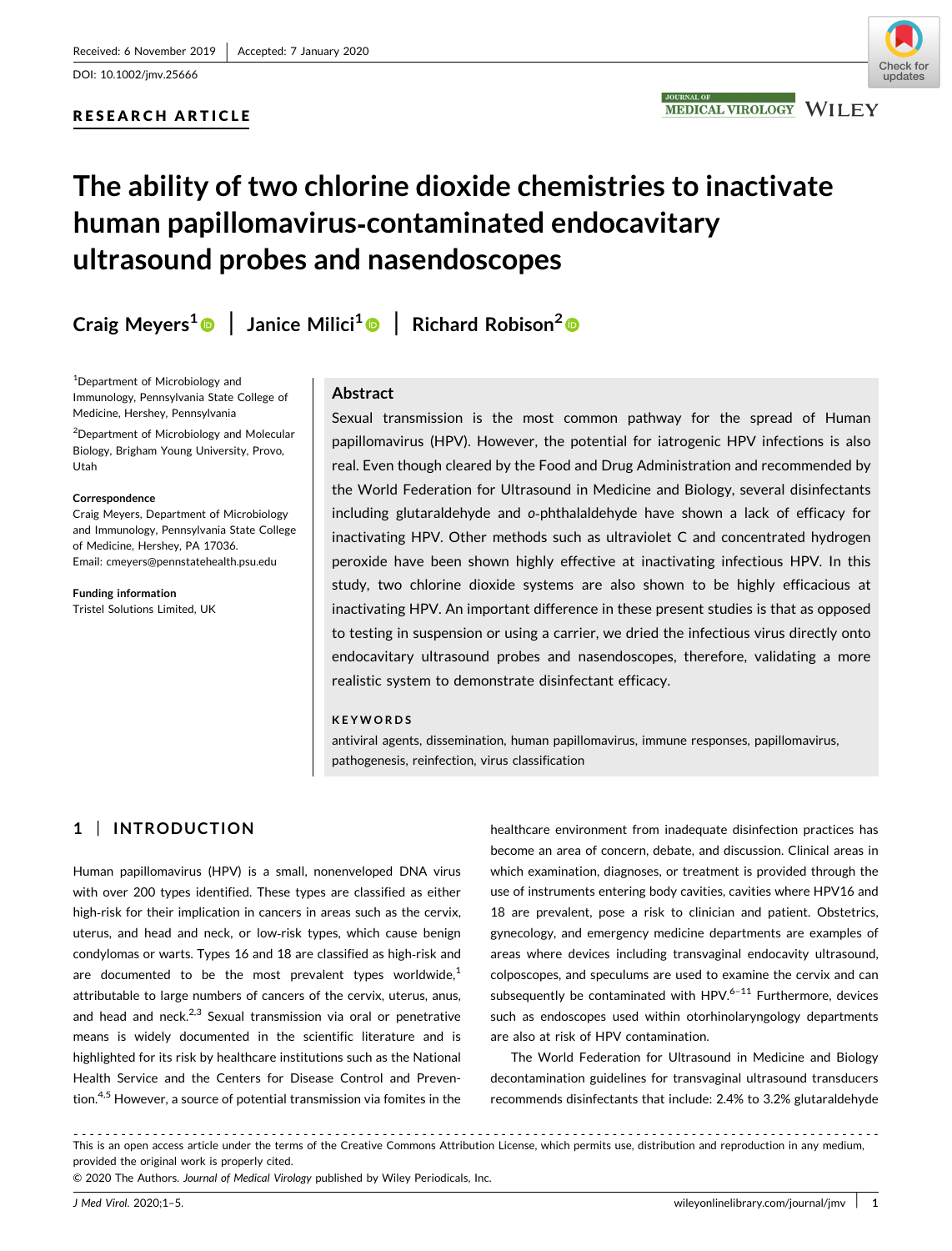DOI: 10.1002/jmv.25666

# RESEARCH ARTICLE



# The ability of two chlorine dioxide chemistries to inactivate human papillomavirus‐contaminated endocavitary ultrasound probes and nasendoscopes

Craig Meyers<sup>[1](http://orcid.org/0000-0001-9185-1457)</sup> | Janice Milici<sup>1</sup> | Richard Robison<sup>[2](http://orcid.org/0000-0002-4324-5169)</sup>

<sup>1</sup>Department of Microbiology and Immunology, Pennsylvania State College of Medicine, Hershey, Pennsylvania

<sup>2</sup>Department of Microbiology and Molecular Biology, Brigham Young University, Provo, Utah

#### Correspondence

Craig Meyers, Department of Microbiology and Immunology, Pennsylvania State College of Medicine, Hershey, PA 17036. Email: [cmeyers@pennstatehealth.psu.edu](mailto:cmeyers@pennstatehealth.psu.edu)

Funding information Tristel Solutions Limited, UK

## Abstract

Sexual transmission is the most common pathway for the spread of Human papillomavirus (HPV). However, the potential for iatrogenic HPV infections is also real. Even though cleared by the Food and Drug Administration and recommended by the World Federation for Ultrasound in Medicine and Biology, several disinfectants including glutaraldehyde and o‐phthalaldehyde have shown a lack of efficacy for inactivating HPV. Other methods such as ultraviolet C and concentrated hydrogen peroxide have been shown highly effective at inactivating infectious HPV. In this study, two chlorine dioxide systems are also shown to be highly efficacious at inactivating HPV. An important difference in these present studies is that as opposed to testing in suspension or using a carrier, we dried the infectious virus directly onto endocavitary ultrasound probes and nasendoscopes, therefore, validating a more realistic system to demonstrate disinfectant efficacy.

#### KEYWORDS

antiviral agents, dissemination, human papillomavirus, immune responses, papillomavirus, pathogenesis, reinfection, virus classification

# 1 | INTRODUCTION

Human papillomavirus (HPV) is a small, nonenveloped DNA virus with over 200 types identified. These types are classified as either high-risk for their implication in cancers in areas such as the cervix, uterus, and head and neck, or low‐risk types, which cause benign condylomas or warts. Types 16 and 18 are classified as high‐risk and are documented to be the most prevalent types worldwide, $<sup>1</sup>$ </sup> attributable to large numbers of cancers of the cervix, uterus, anus, and head and neck. $2,3$  Sexual transmission via oral or penetrative means is widely documented in the scientific literature and is highlighted for its risk by healthcare institutions such as the National Health Service and the Centers for Disease Control and Prevention.<sup>4,5</sup> However, a source of potential transmission via fomites in the healthcare environment from inadequate disinfection practices has become an area of concern, debate, and discussion. Clinical areas in which examination, diagnoses, or treatment is provided through the use of instruments entering body cavities, cavities where HPV16 and 18 are prevalent, pose a risk to clinician and patient. Obstetrics, gynecology, and emergency medicine departments are examples of areas where devices including transvaginal endocavity ultrasound, colposcopes, and speculums are used to examine the cervix and can subsequently be contaminated with HPV. $6-11$  Furthermore, devices such as endoscopes used within otorhinolaryngology departments are also at risk of HPV contamination.

The World Federation for Ultrasound in Medicine and Biology decontamination guidelines for transvaginal ultrasound transducers recommends disinfectants that include: 2.4% to 3.2% glutaraldehyde

------------------------------------------------------------------------------------------------------ This is an open access article under the terms of the Creative Commons Attribution License, which permits use, distribution and reproduction in any medium, provided the original work is properly cited.

© 2020 The Authors. Journal of Medical Virology published by Wiley Periodicals, Inc.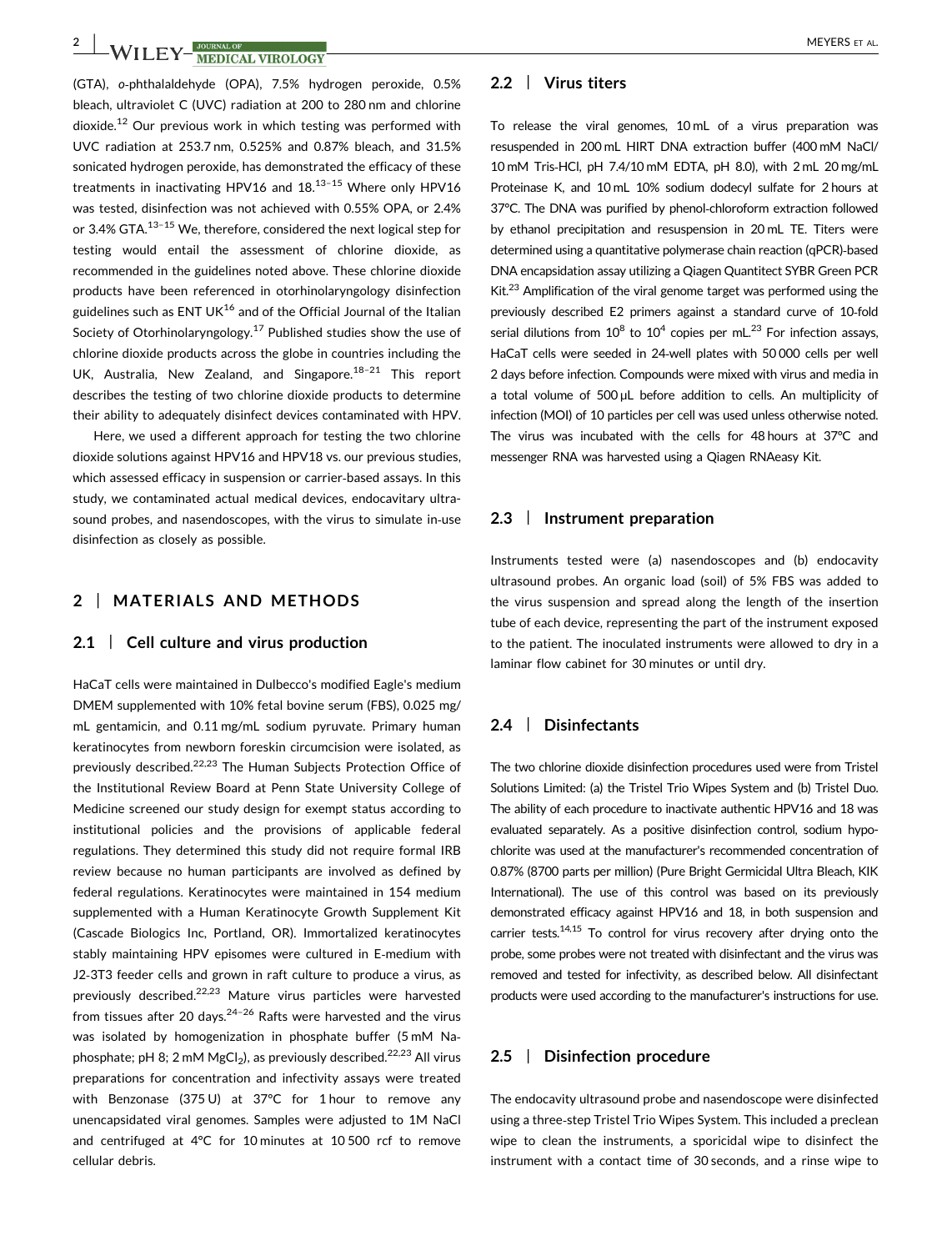# **2** WILEY-**WEDIAL MEYERS** ET AL.

(GTA), o‐phthalaldehyde (OPA), 7.5% hydrogen peroxide, 0.5% bleach, ultraviolet C (UVC) radiation at 200 to 280 nm and chlorine dioxide.<sup>12</sup> Our previous work in which testing was performed with UVC radiation at 253.7 nm, 0.525% and 0.87% bleach, and 31.5% sonicated hydrogen peroxide, has demonstrated the efficacy of these treatments in inactivating HPV16 and  $18.13-15$  Where only HPV16 was tested, disinfection was not achieved with 0.55% OPA, or 2.4% or 3.4% GTA.<sup>13-15</sup> We, therefore, considered the next logical step for testing would entail the assessment of chlorine dioxide, as recommended in the guidelines noted above. These chlorine dioxide products have been referenced in otorhinolaryngology disinfection guidelines such as ENT UK $^{16}$  and of the Official Journal of the Italian Society of Otorhinolaryngology.<sup>17</sup> Published studies show the use of chlorine dioxide products across the globe in countries including the UK, Australia, New Zealand, and Singapore. $18-21$  This report describes the testing of two chlorine dioxide products to determine their ability to adequately disinfect devices contaminated with HPV.

Here, we used a different approach for testing the two chlorine dioxide solutions against HPV16 and HPV18 vs. our previous studies, which assessed efficacy in suspension or carrier‐based assays. In this study, we contaminated actual medical devices, endocavitary ultrasound probes, and nasendoscopes, with the virus to simulate in‐use disinfection as closely as possible.

# 2 | MATERIALS AND METHODS

#### 2.1 | Cell culture and virus production

HaCaT cells were maintained in Dulbecco's modified Eagle's medium DMEM supplemented with 10% fetal bovine serum (FBS), 0.025 mg/ mL gentamicin, and 0.11 mg/mL sodium pyruvate. Primary human keratinocytes from newborn foreskin circumcision were isolated, as previously described.<sup>22,23</sup> The Human Subjects Protection Office of the Institutional Review Board at Penn State University College of Medicine screened our study design for exempt status according to institutional policies and the provisions of applicable federal regulations. They determined this study did not require formal IRB review because no human participants are involved as defined by federal regulations. Keratinocytes were maintained in 154 medium supplemented with a Human Keratinocyte Growth Supplement Kit (Cascade Biologics Inc, Portland, OR). Immortalized keratinocytes stably maintaining HPV episomes were cultured in E‐medium with J2‐3T3 feeder cells and grown in raft culture to produce a virus, as previously described.<sup>22,23</sup> Mature virus particles were harvested from tissues after 20 days. $24-26$  Rafts were harvested and the virus was isolated by homogenization in phosphate buffer (5 mM Na‐ phosphate; pH 8; 2 mM  $MgCl<sub>2</sub>$ ), as previously described.<sup>22,23</sup> All virus preparations for concentration and infectivity assays were treated with Benzonase (375 U) at 37°C for 1 hour to remove any unencapsidated viral genomes. Samples were adjusted to 1M NaCl and centrifuged at 4°C for 10 minutes at 10 500 rcf to remove cellular debris.

#### 2.2 | Virus titers

To release the viral genomes, 10 mL of a virus preparation was resuspended in 200 mL HIRT DNA extraction buffer (400 mM NaCl/ 10 mM Tris‐HCl, pH 7.4/10 mM EDTA, pH 8.0), with 2 mL 20 mg/mL Proteinase K, and 10 mL 10% sodium dodecyl sulfate for 2 hours at 37°C. The DNA was purified by phenol-chloroform extraction followed by ethanol precipitation and resuspension in 20 mL TE. Titers were determined using a quantitative polymerase chain reaction (qPCR)‐based DNA encapsidation assay utilizing a Qiagen Quantitect SYBR Green PCR Kit. $^{23}$  Amplification of the viral genome target was performed using the previously described E2 primers against a standard curve of 10‐fold serial dilutions from  $10^8$  to  $10^4$  copies per mL.<sup>23</sup> For infection assays, HaCaT cells were seeded in 24-well plates with 50 000 cells per well 2 days before infection. Compounds were mixed with virus and media in a total volume of 500 µL before addition to cells. An multiplicity of infection (MOI) of 10 particles per cell was used unless otherwise noted. The virus was incubated with the cells for 48 hours at 37°C and messenger RNA was harvested using a Qiagen RNAeasy Kit.

#### 2.3 | Instrument preparation

Instruments tested were (a) nasendoscopes and (b) endocavity ultrasound probes. An organic load (soil) of 5% FBS was added to the virus suspension and spread along the length of the insertion tube of each device, representing the part of the instrument exposed to the patient. The inoculated instruments were allowed to dry in a laminar flow cabinet for 30 minutes or until dry.

## 2.4 | Disinfectants

The two chlorine dioxide disinfection procedures used were from Tristel Solutions Limited: (a) the Tristel Trio Wipes System and (b) Tristel Duo. The ability of each procedure to inactivate authentic HPV16 and 18 was evaluated separately. As a positive disinfection control, sodium hypochlorite was used at the manufacturer's recommended concentration of 0.87% (8700 parts per million) (Pure Bright Germicidal Ultra Bleach, KIK International). The use of this control was based on its previously demonstrated efficacy against HPV16 and 18, in both suspension and carrier tests. $14,15$  To control for virus recovery after drying onto the probe, some probes were not treated with disinfectant and the virus was removed and tested for infectivity, as described below. All disinfectant products were used according to the manufacturer's instructions for use.

# 2.5 | Disinfection procedure

The endocavity ultrasound probe and nasendoscope were disinfected using a three‐step Tristel Trio Wipes System. This included a preclean wipe to clean the instruments, a sporicidal wipe to disinfect the instrument with a contact time of 30 seconds, and a rinse wipe to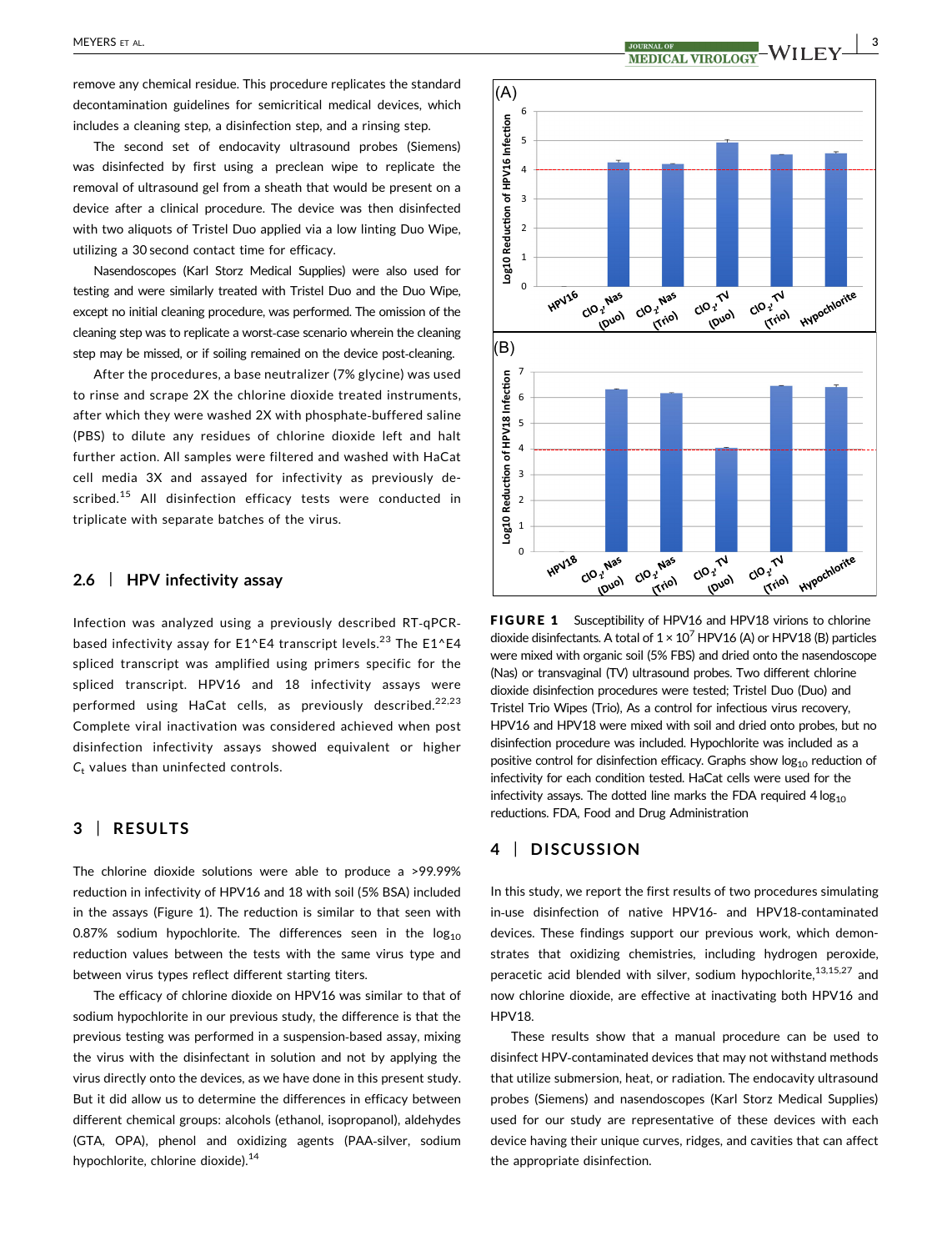remove any chemical residue. This procedure replicates the standard decontamination guidelines for semicritical medical devices, which includes a cleaning step, a disinfection step, and a rinsing step.

The second set of endocavity ultrasound probes (Siemens) was disinfected by first using a preclean wipe to replicate the removal of ultrasound gel from a sheath that would be present on a device after a clinical procedure. The device was then disinfected with two aliquots of Tristel Duo applied via a low linting Duo Wipe, utilizing a 30 second contact time for efficacy.

Nasendoscopes (Karl Storz Medical Supplies) were also used for testing and were similarly treated with Tristel Duo and the Duo Wipe, except no initial cleaning procedure, was performed. The omission of the cleaning step was to replicate a worst‐case scenario wherein the cleaning step may be missed, or if soiling remained on the device post-cleaning.

After the procedures, a base neutralizer (7% glycine) was used to rinse and scrape 2X the chlorine dioxide treated instruments, after which they were washed 2X with phosphate‐buffered saline (PBS) to dilute any residues of chlorine dioxide left and halt further action. All samples were filtered and washed with HaCat cell media 3X and assayed for infectivity as previously described.<sup>15</sup> All disinfection efficacy tests were conducted in triplicate with separate batches of the virus.

# 2.6 | HPV infectivity assay

Infection was analyzed using a previously described RT‐qPCR‐ based infectivity assay for  $E1E4$  transcript levels.<sup>23</sup> The  $E1E4$ spliced transcript was amplified using primers specific for the spliced transcript. HPV16 and 18 infectivity assays were performed using HaCat cells, as previously described. $22,23$ Complete viral inactivation was considered achieved when post disinfection infectivity assays showed equivalent or higher  $C_t$  values than uninfected controls.

# 3 | RESULTS

The chlorine dioxide solutions were able to produce a >99.99% reduction in infectivity of HPV16 and 18 with soil (5% BSA) included in the assays (Figure 1). The reduction is similar to that seen with 0.87% sodium hypochlorite. The differences seen in the  $log_{10}$ reduction values between the tests with the same virus type and between virus types reflect different starting titers.

The efficacy of chlorine dioxide on HPV16 was similar to that of sodium hypochlorite in our previous study, the difference is that the previous testing was performed in a suspension‐based assay, mixing the virus with the disinfectant in solution and not by applying the virus directly onto the devices, as we have done in this present study. But it did allow us to determine the differences in efficacy between different chemical groups: alcohols (ethanol, isopropanol), aldehydes (GTA, OPA), phenol and oxidizing agents (PAA‐silver, sodium hypochlorite, chlorine dioxide).<sup>14</sup>



FIGURE 1 Susceptibility of HPV16 and HPV18 virions to chlorine dioxide disinfectants. A total of  $1 \times 10^7$  HPV16 (A) or HPV18 (B) particles were mixed with organic soil (5% FBS) and dried onto the nasendoscope (Nas) or transvaginal (TV) ultrasound probes. Two different chlorine dioxide disinfection procedures were tested; Tristel Duo (Duo) and Tristel Trio Wipes (Trio), As a control for infectious virus recovery, HPV16 and HPV18 were mixed with soil and dried onto probes, but no disinfection procedure was included. Hypochlorite was included as a positive control for disinfection efficacy. Graphs show  $log_{10}$  reduction of infectivity for each condition tested. HaCat cells were used for the infectivity assays. The dotted line marks the FDA required  $4 \log_{10}$ reductions. FDA, Food and Drug Administration

## 4 | DISCUSSION

In this study, we report the first results of two procedures simulating in‐use disinfection of native HPV16‐ and HPV18‐contaminated devices. These findings support our previous work, which demonstrates that oxidizing chemistries, including hydrogen peroxide, peracetic acid blended with silver, sodium hypochlorite,  $13,15,27$  and now chlorine dioxide, are effective at inactivating both HPV16 and HPV18.

These results show that a manual procedure can be used to disinfect HPV‐contaminated devices that may not withstand methods that utilize submersion, heat, or radiation. The endocavity ultrasound probes (Siemens) and nasendoscopes (Karl Storz Medical Supplies) used for our study are representative of these devices with each device having their unique curves, ridges, and cavities that can affect the appropriate disinfection.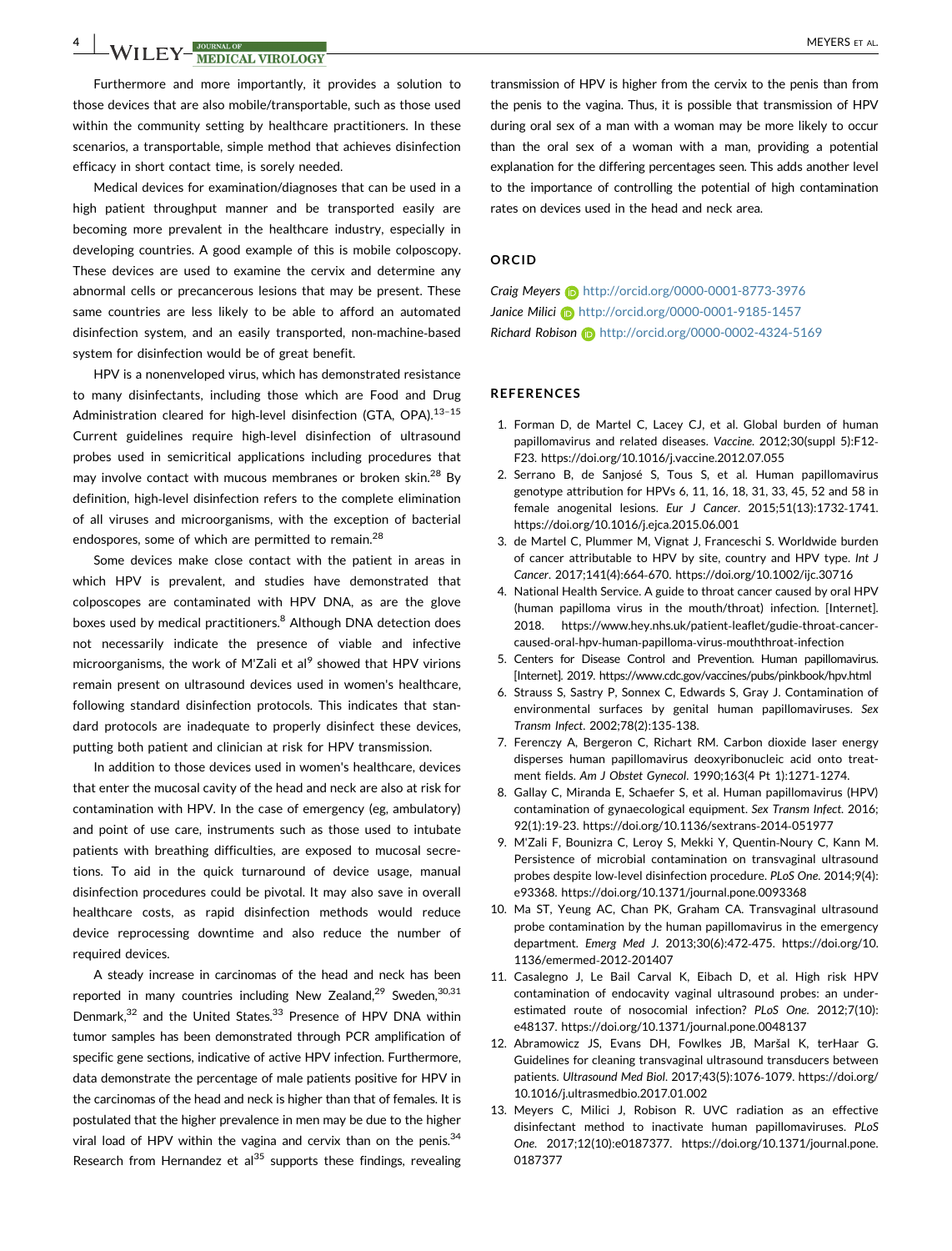# A WILEY-WEDICAL VIROLOGY MEYERS ET AL.

Furthermore and more importantly, it provides a solution to those devices that are also mobile/transportable, such as those used within the community setting by healthcare practitioners. In these scenarios, a transportable, simple method that achieves disinfection efficacy in short contact time, is sorely needed.

Medical devices for examination/diagnoses that can be used in a high patient throughput manner and be transported easily are becoming more prevalent in the healthcare industry, especially in developing countries. A good example of this is mobile colposcopy. These devices are used to examine the cervix and determine any abnormal cells or precancerous lesions that may be present. These same countries are less likely to be able to afford an automated disinfection system, and an easily transported, non‐machine‐based system for disinfection would be of great benefit.

HPV is a nonenveloped virus, which has demonstrated resistance to many disinfectants, including those which are Food and Drug Administration cleared for high-level disinfection (GTA, OPA).<sup>13-15</sup> Current guidelines require high‐level disinfection of ultrasound probes used in semicritical applications including procedures that may involve contact with mucous membranes or broken skin.<sup>28</sup> By definition, high‐level disinfection refers to the complete elimination of all viruses and microorganisms, with the exception of bacterial endospores, some of which are permitted to remain.<sup>28</sup>

Some devices make close contact with the patient in areas in which HPV is prevalent, and studies have demonstrated that colposcopes are contaminated with HPV DNA, as are the glove boxes used by medical practitioners.<sup>8</sup> Although DNA detection does not necessarily indicate the presence of viable and infective microorganisms, the work of M'Zali et al<sup>9</sup> showed that HPV virions remain present on ultrasound devices used in women's healthcare, following standard disinfection protocols. This indicates that standard protocols are inadequate to properly disinfect these devices, putting both patient and clinician at risk for HPV transmission.

In addition to those devices used in women's healthcare, devices that enter the mucosal cavity of the head and neck are also at risk for contamination with HPV. In the case of emergency (eg, ambulatory) and point of use care, instruments such as those used to intubate patients with breathing difficulties, are exposed to mucosal secretions. To aid in the quick turnaround of device usage, manual disinfection procedures could be pivotal. It may also save in overall healthcare costs, as rapid disinfection methods would reduce device reprocessing downtime and also reduce the number of required devices.

A steady increase in carcinomas of the head and neck has been reported in many countries including New Zealand,<sup>29</sup> Sweden,<sup>30,31</sup> Denmark,<sup>32</sup> and the United States.<sup>33</sup> Presence of HPV DNA within tumor samples has been demonstrated through PCR amplification of specific gene sections, indicative of active HPV infection. Furthermore, data demonstrate the percentage of male patients positive for HPV in the carcinomas of the head and neck is higher than that of females. It is postulated that the higher prevalence in men may be due to the higher viral load of HPV within the vagina and cervix than on the penis. $34$ Research from Hernandez et al $^{35}$  supports these findings, revealing

transmission of HPV is higher from the cervix to the penis than from the penis to the vagina. Thus, it is possible that transmission of HPV during oral sex of a man with a woman may be more likely to occur than the oral sex of a woman with a man, providing a potential explanation for the differing percentages seen. This adds another level to the importance of controlling the potential of high contamination rates on devices used in the head and neck area.

#### ORCID

Craig Meyers **b** <http://orcid.org/0000-0001-8773-3976> Janice Milici D <http://orcid.org/0000-0001-9185-1457> Richard Robison **b** <http://orcid.org/0000-0002-4324-5169>

#### REFERENCES

- 1. Forman D, de Martel C, Lacey CJ, et al. Global burden of human papillomavirus and related diseases. Vaccine. 2012;30(suppl 5):F12-F23.<https://doi.org/10.1016/j.vaccine.2012.07.055>
- 2. Serrano B, de Sanjosé S, Tous S, et al. Human papillomavirus genotype attribution for HPVs 6, 11, 16, 18, 31, 33, 45, 52 and 58 in female anogenital lesions. Eur J Cancer. 2015;51(13):1732‐1741. <https://doi.org/10.1016/j.ejca.2015.06.001>
- 3. de Martel C, Plummer M, Vignat J, Franceschi S. Worldwide burden of cancer attributable to HPV by site, country and HPV type. Int J Cancer. 2017;141(4):664‐670.<https://doi.org/10.1002/ijc.30716>
- 4. National Health Service. A guide to throat cancer caused by oral HPV (human papilloma virus in the mouth/throat) infection. [Internet]. 2018. [https://www.hey.nhs.uk/patient](https://www.hey.nhs.uk/patient-leaflet/gudie-throat-cancer-caused-oral-hpv-human-papilloma-virus-mouththroat-infection)‐leaflet/gudie‐throat‐cancer‐ caused‐oral‐hpv‐human‐papilloma‐virus‐[mouththroat](https://www.hey.nhs.uk/patient-leaflet/gudie-throat-cancer-caused-oral-hpv-human-papilloma-virus-mouththroat-infection)‐infection
- 5. Centers for Disease Control and Prevention. Human papillomavirus. [Internet]. 2019.<https://www.cdc.gov/vaccines/pubs/pinkbook/hpv.html>
- 6. Strauss S, Sastry P, Sonnex C, Edwards S, Gray J. Contamination of environmental surfaces by genital human papillomaviruses. Sex Transm Infect. 2002;78(2):135‐138.
- 7. Ferenczy A, Bergeron C, Richart RM. Carbon dioxide laser energy disperses human papillomavirus deoxyribonucleic acid onto treatment fields. Am J Obstet Gynecol. 1990;163(4 Pt 1):1271‐1274.
- 8. Gallay C, Miranda E, Schaefer S, et al. Human papillomavirus (HPV) contamination of gynaecological equipment. Sex Transm Infect. 2016; 92(1):19‐23. [https://doi.org/10.1136/sextrans](https://doi.org/10.1136/sextrans-2014-051977)‐2014‐051977
- 9. M'Zali F, Bounizra C, Leroy S, Mekki Y, Quentin‐Noury C, Kann M. Persistence of microbial contamination on transvaginal ultrasound probes despite low‐level disinfection procedure. PLoS One. 2014;9(4): e93368.<https://doi.org/10.1371/journal.pone.0093368>
- 10. Ma ST, Yeung AC, Chan PK, Graham CA. Transvaginal ultrasound probe contamination by the human papillomavirus in the emergency department. Emerg Med J. 2013;30(6):472‐475. [https://doi.org/10.](https://doi.org/10.1136/emermed-2012-201407) [1136/emermed](https://doi.org/10.1136/emermed-2012-201407)‐2012‐201407
- 11. Casalegno J, Le Bail Carval K, Eibach D, et al. High risk HPV contamination of endocavity vaginal ultrasound probes: an underestimated route of nosocomial infection? PLoS One. 2012;7(10): e48137.<https://doi.org/10.1371/journal.pone.0048137>
- 12. Abramowicz JS, Evans DH, Fowlkes JB, Maršal K, terHaar G. Guidelines for cleaning transvaginal ultrasound transducers between patients. Ultrasound Med Biol. 2017;43(5):1076‐1079. [https://doi.org/](https://doi.org/10.1016/j.ultrasmedbio.2017.01.002) [10.1016/j.ultrasmedbio.2017.01.002](https://doi.org/10.1016/j.ultrasmedbio.2017.01.002)
- 13. Meyers C, Milici J, Robison R. UVC radiation as an effective disinfectant method to inactivate human papillomaviruses. PLoS One. 2017;12(10):e0187377. [https://doi.org/10.1371/journal.pone.](https://doi.org/10.1371/journal.pone.0187377) [0187377](https://doi.org/10.1371/journal.pone.0187377)